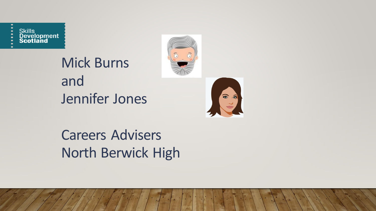Skills<br>Development<br>Scotland

Mick Burns and Jennifer Jones





Careers Advisers North Berwick High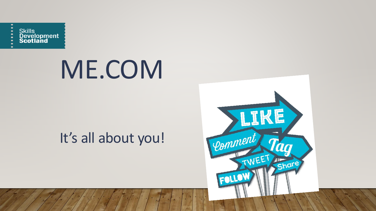

## ME.COM

## It's all about you!

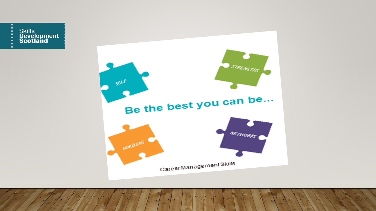

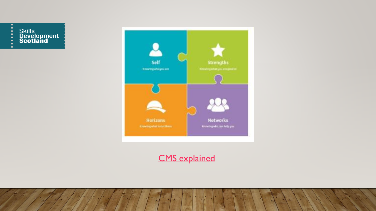



#### [CMS explained](https://youtu.be/gvYDxGlYM6s)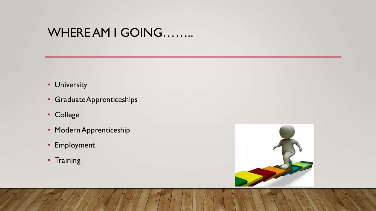### WHERE AM I GOING……..

- University
- Graduate Apprenticeships
- College
- Modern Apprenticeship
- Employment
- Training

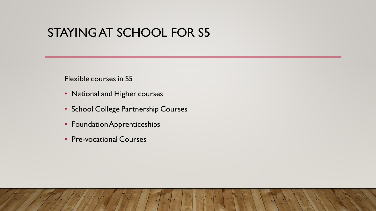#### STAYING AT SCHOOL FOR S5

Flexible courses in S5

- National and Higher courses
- School College Partnership Courses
- Foundation Apprenticeships
- Pre-vocational Courses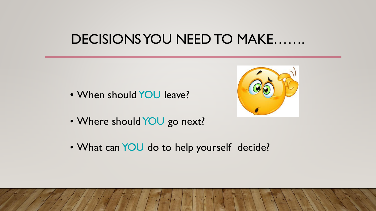### **DECISIONS YOU NEED TO MAKE.......**

- When should YOU leave?
- Where should YOU go next?
- . What can YOU do to help yourself decide?

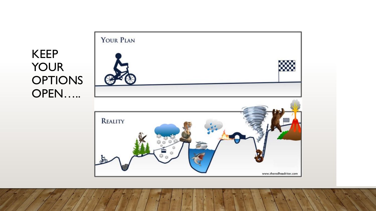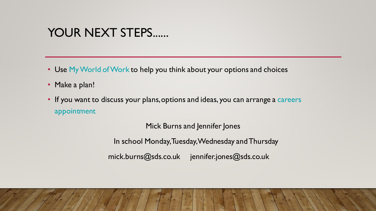#### YOUR NEXT STEPS......

- Use My World of Work to help you think about your options and choices
- Make a plan!
- If you want to discuss your plans, options and ideas, you can arrange a careers appointment

Mick Burns and Jennifer Jones

In school Monday, Tuesday, Wednesday and Thursday

mick.burns@sds.co.uk jennifer.jones@sds.co.uk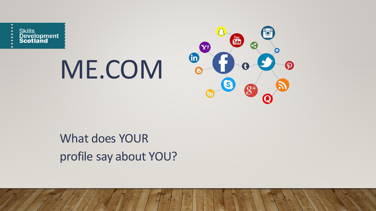Skills<br>Development<br>Scotland

# ME.COM



### What does YOUR profile say about YOU?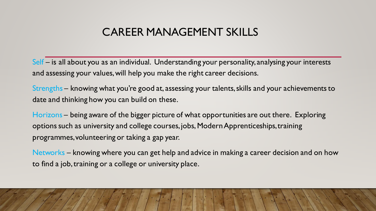#### CAREER MANAGEMENT SKILLS

Self – is all about you as an individual. Understanding your personality, analysing your interests and assessing your values, will help you make the right career decisions.

Strengths – knowing what you're good at, assessing your talents, skills and your achievements to date and thinking how you can build on these.

Horizons – being aware of the bigger picture of what opportunities are out there. Exploring options such as university and college courses, jobs, Modern Apprenticeships, training programmes, volunteering or taking a gap year.

Networks – knowing where you can get help and advice in making a career decision and on how to find a job, training or a college or university place.